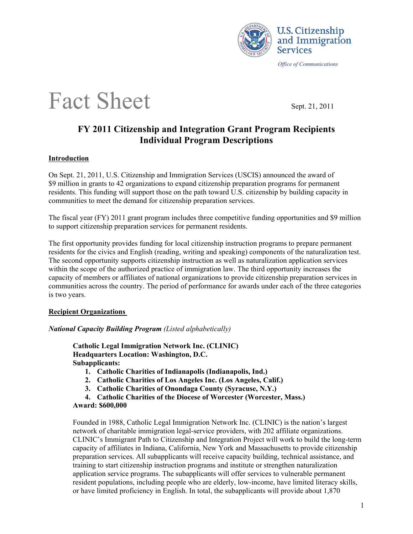

*Office of Communications* 

# Fact Sheet Sept. 21, 2011

# **FY 2011 Citizenship and Integration Grant Program Recipients Individual Program Descriptions**

# **Introduction**

On Sept. 21, 2011, U.S. Citizenship and Immigration Services (USCIS) announced the award of \$9 million in grants to 42 organizations to expand citizenship preparation programs for permanent residents. This funding will support those on the path toward U.S. citizenship by building capacity in communities to meet the demand for citizenship preparation services.

The fiscal year (FY) 2011 grant program includes three competitive funding opportunities and \$9 million to support citizenship preparation services for permanent residents.

The first opportunity provides funding for local citizenship instruction programs to prepare permanent residents for the civics and English (reading, writing and speaking) components of the naturalization test. The second opportunity supports citizenship instruction as well as naturalization application services within the scope of the authorized practice of immigration law. The third opportunity increases the capacity of members or affiliates of national organizations to provide citizenship preparation services in communities across the country. The period of performance for awards under each of the three categories is two years.

# **Recipient Organizations**

*National Capacity Building Program (Listed alphabetically)*

**Catholic Legal Immigration Network Inc. (CLINIC) Headquarters Location: Washington, D.C. Subapplicants:** 

- **1. Catholic Charities of Indianapolis (Indianapolis, Ind.)**
- **2. Catholic Charities of Los Angeles Inc. (Los Angeles, Calif.)**
- **3. Catholic Charities of Onondaga County (Syracuse, N.Y.)**
- **4. Catholic Charities of the Diocese of Worcester (Worcester, Mass.)**
- **Award: \$600,000**

Founded in 1988, Catholic Legal Immigration Network Inc. (CLINIC) is the nation's largest network of charitable immigration legal-service providers, with 202 affiliate organizations. CLINIC's Immigrant Path to Citizenship and Integration Project will work to build the long-term capacity of affiliates in Indiana, California, New York and Massachusetts to provide citizenship preparation services. All subapplicants will receive capacity building, technical assistance, and training to start citizenship instruction programs and institute or strengthen naturalization application service programs. The subapplicants will offer services to vulnerable permanent resident populations, including people who are elderly, low-income, have limited literacy skills, or have limited proficiency in English. In total, the subapplicants will provide about 1,870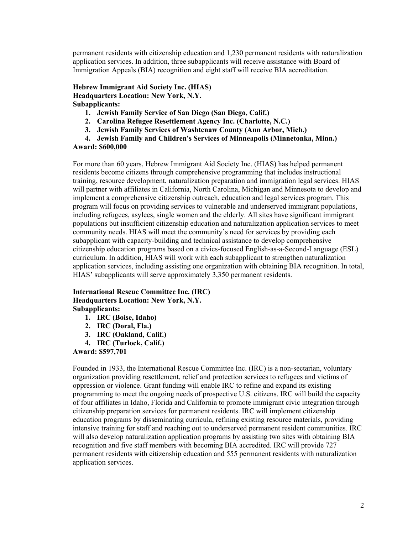permanent residents with citizenship education and 1,230 permanent residents with naturalization application services. In addition, three subapplicants will receive assistance with Board of Immigration Appeals (BIA) recognition and eight staff will receive BIA accreditation.

**Hebrew Immigrant Aid Society Inc. (HIAS) Headquarters Location: New York, N.Y. Subapplicants:** 

- **1. Jewish Family Service of San Diego (San Diego, Calif.)**
- **2. Carolina Refugee Resettlement Agency Inc. (Charlotte, N.C.)**
- **3. Jewish Family Services of Washtenaw County (Ann Arbor, Mich.)**
- **4. Jewish Family and Children's Services of Minneapolis (Minnetonka, Minn.)**

**Award: \$600,000**

For more than 60 years, Hebrew Immigrant Aid Society Inc. (HIAS) has helped permanent residents become citizens through comprehensive programming that includes instructional training, resource development, naturalization preparation and immigration legal services. HIAS will partner with affiliates in California, North Carolina, Michigan and Minnesota to develop and implement a comprehensive citizenship outreach, education and legal services program. This program will focus on providing services to vulnerable and underserved immigrant populations, including refugees, asylees, single women and the elderly. All sites have significant immigrant populations but insufficient citizenship education and naturalization application services to meet community needs. HIAS will meet the community's need for services by providing each subapplicant with capacity-building and technical assistance to develop comprehensive citizenship education programs based on a civics-focused English-as-a-Second-Language (ESL) curriculum. In addition, HIAS will work with each subapplicant to strengthen naturalization application services, including assisting one organization with obtaining BIA recognition. In total, HIAS' subapplicants will serve approximately 3,350 permanent residents.

#### **International Rescue Committee Inc. (IRC) Headquarters Location: New York, N.Y. Subapplicants:**

- **1. IRC (Boise, Idaho)**
- **2. IRC (Doral, Fla.)**
- **3. IRC (Oakland, Calif.)**
- **4. IRC (Turlock, Calif.)**

**Award: \$597,701**

Founded in 1933, the International Rescue Committee Inc. (IRC) is a non-sectarian, voluntary organization providing resettlement, relief and protection services to refugees and victims of oppression or violence. Grant funding will enable IRC to refine and expand its existing programming to meet the ongoing needs of prospective U.S. citizens. IRC will build the capacity of four affiliates in Idaho, Florida and California to promote immigrant civic integration through citizenship preparation services for permanent residents. IRC will implement citizenship education programs by disseminating curricula, refining existing resource materials, providing intensive training for staff and reaching out to underserved permanent resident communities. IRC will also develop naturalization application programs by assisting two sites with obtaining BIA recognition and five staff members with becoming BIA accredited. IRC will provide 727 permanent residents with citizenship education and 555 permanent residents with naturalization application services.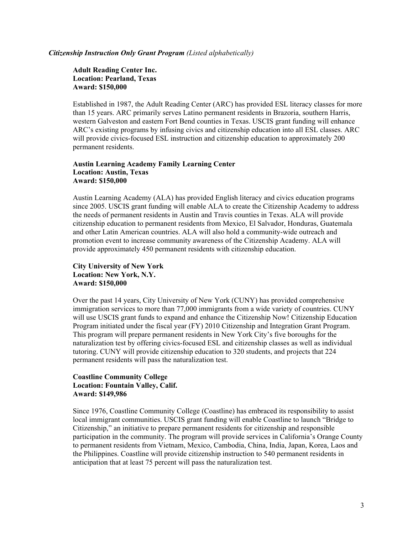#### *Citizenship Instruction Only Grant Program (Listed alphabetically)*

**Adult Reading Center Inc. Location: Pearland, Texas Award: \$150,000**

Established in 1987, the Adult Reading Center (ARC) has provided ESL literacy classes for more than 15 years. ARC primarily serves Latino permanent residents in Brazoria, southern Harris, western Galveston and eastern Fort Bend counties in Texas. USCIS grant funding will enhance ARC's existing programs by infusing civics and citizenship education into all ESL classes. ARC will provide civics-focused ESL instruction and citizenship education to approximately 200 permanent residents.

#### **Austin Learning Academy Family Learning Center Location: Austin, Texas Award: \$150,000**

Austin Learning Academy (ALA) has provided English literacy and civics education programs since 2005. USCIS grant funding will enable ALA to create the Citizenship Academy to address the needs of permanent residents in Austin and Travis counties in Texas. ALA will provide citizenship education to permanent residents from Mexico, El Salvador, Honduras, Guatemala and other Latin American countries. ALA will also hold a community-wide outreach and promotion event to increase community awareness of the Citizenship Academy. ALA will provide approximately 450 permanent residents with citizenship education.

#### **City University of New York Location: New York, N.Y. Award: \$150,000**

Over the past 14 years, City University of New York (CUNY) has provided comprehensive immigration services to more than 77,000 immigrants from a wide variety of countries. CUNY will use USCIS grant funds to expand and enhance the Citizenship Now! Citizenship Education Program initiated under the fiscal year (FY) 2010 Citizenship and Integration Grant Program. This program will prepare permanent residents in New York City's five boroughs for the naturalization test by offering civics-focused ESL and citizenship classes as well as individual tutoring. CUNY will provide citizenship education to 320 students, and projects that 224 permanent residents will pass the naturalization test.

# **Coastline Community College Location: Fountain Valley, Calif. Award: \$149,986**

Since 1976, Coastline Community College (Coastline) has embraced its responsibility to assist local immigrant communities. USCIS grant funding will enable Coastline to launch "Bridge to Citizenship," an initiative to prepare permanent residents for citizenship and responsible participation in the community. The program will provide services in California's Orange County to permanent residents from Vietnam, Mexico, Cambodia, China, India, Japan, Korea, Laos and the Philippines. Coastline will provide citizenship instruction to 540 permanent residents in anticipation that at least 75 percent will pass the naturalization test.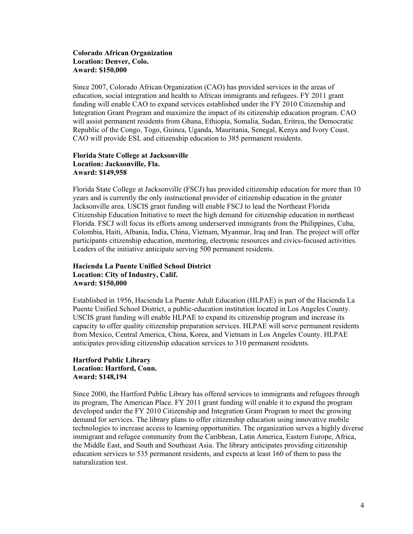#### **Colorado African Organization Location: Denver, Colo. Award: \$150,000**

Since 2007, Colorado African Organization (CAO) has provided services in the areas of education, social integration and health to African immigrants and refugees. FY 2011 grant funding will enable CAO to expand services established under the FY 2010 Citizenship and Integration Grant Program and maximize the impact of its citizenship education program. CAO will assist permanent residents from Ghana, Ethiopia, Somalia, Sudan, Eritrea, the Democratic Republic of the Congo, Togo, Guinea, Uganda, Mauritania, Senegal, Kenya and Ivory Coast. CAO will provide ESL and citizenship education to 385 permanent residents.

#### **Florida State College at Jacksonville Location: Jacksonville, Fla. Award: \$149,958**

Florida State College at Jacksonville (FSCJ) has provided citizenship education for more than 10 years and is currently the only instructional provider of citizenship education in the greater Jacksonville area. USCIS grant funding will enable FSCJ to lead the Northeast Florida Citizenship Education Initiative to meet the high demand for citizenship education in northeast Florida. FSCJ will focus its efforts among underserved immigrants from the Philippines, Cuba, Colombia, Haiti, Albania, India, China, Vietnam, Myanmar, Iraq and Iran. The project will offer participants citizenship education, mentoring, electronic resources and civics-focused activities. Leaders of the initiative anticipate serving 500 permanent residents.

# **Hacienda La Puente Unified School District Location: City of Industry, Calif. Award: \$150,000**

Established in 1956, Hacienda La Puente Adult Education (HLPAE) is part of the Hacienda La Puente Unified School District, a public-education institution located in Los Angeles County. USCIS grant funding will enable HLPAE to expand its citizenship program and increase its capacity to offer quality citizenship preparation services. HLPAE will serve permanent residents from Mexico, Central America, China, Korea, and Vietnam in Los Angeles County. HLPAE anticipates providing citizenship education services to 310 permanent residents.

#### **Hartford Public Library Location: Hartford, Conn. Award: \$148,194**

Since 2000, the Hartford Public Library has offered services to immigrants and refugees through its program, The American Place. FY 2011 grant funding will enable it to expand the program developed under the FY 2010 Citizenship and Integration Grant Program to meet the growing demand for services. The library plans to offer citizenship education using innovative mobile technologies to increase access to learning opportunities. The organization serves a highly diverse immigrant and refugee community from the Caribbean, Latin America, Eastern Europe, Africa, the Middle East, and South and Southeast Asia. The library anticipates providing citizenship education services to 535 permanent residents, and expects at least 160 of them to pass the naturalization test.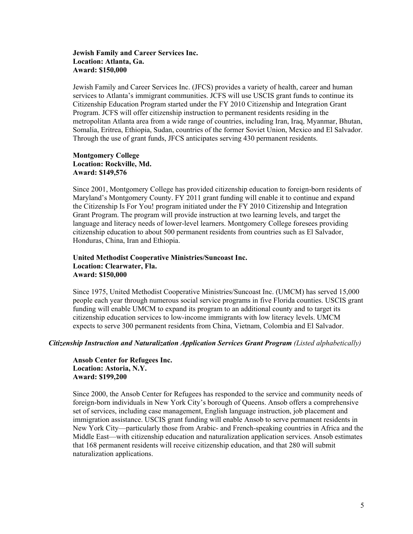#### **Jewish Family and Career Services Inc. Location: Atlanta, Ga. Award: \$150,000**

Jewish Family and Career Services Inc. (JFCS) provides a variety of health, career and human services to Atlanta's immigrant communities. JCFS will use USCIS grant funds to continue its Citizenship Education Program started under the FY 2010 Citizenship and Integration Grant Program. JCFS will offer citizenship instruction to permanent residents residing in the metropolitan Atlanta area from a wide range of countries, including Iran, Iraq, Myanmar, Bhutan, Somalia, Eritrea, Ethiopia, Sudan, countries of the former Soviet Union, Mexico and El Salvador. Through the use of grant funds, JFCS anticipates serving 430 permanent residents.

#### **Montgomery College Location: Rockville, Md. Award: \$149,576**

Since 2001, Montgomery College has provided citizenship education to foreign-born residents of Maryland's Montgomery County. FY 2011 grant funding will enable it to continue and expand the Citizenship Is For You! program initiated under the FY 2010 Citizenship and Integration Grant Program. The program will provide instruction at two learning levels, and target the language and literacy needs of lower-level learners. Montgomery College foresees providing citizenship education to about 500 permanent residents from countries such as El Salvador, Honduras, China, Iran and Ethiopia.

#### **United Methodist Cooperative Ministries/Suncoast Inc. Location: Clearwater, Fla. Award: \$150,000**

Since 1975, United Methodist Cooperative Ministries/Suncoast Inc. (UMCM) has served 15,000 people each year through numerous social service programs in five Florida counties. USCIS grant funding will enable UMCM to expand its program to an additional county and to target its citizenship education services to low-income immigrants with low literacy levels. UMCM expects to serve 300 permanent residents from China, Vietnam, Colombia and El Salvador.

#### *Citizenship Instruction and Naturalization Application Services Grant Program (Listed alphabetically)*

**Ansob Center for Refugees Inc. Location: Astoria, N.Y. Award: \$199,200**

Since 2000, the Ansob Center for Refugees has responded to the service and community needs of foreign-born individuals in New York City's borough of Queens. Ansob offers a comprehensive set of services, including case management, English language instruction, job placement and immigration assistance. USCIS grant funding will enable Ansob to serve permanent residents in New York City—particularly those from Arabic- and French-speaking countries in Africa and the Middle East—with citizenship education and naturalization application services. Ansob estimates that 168 permanent residents will receive citizenship education, and that 280 will submit naturalization applications.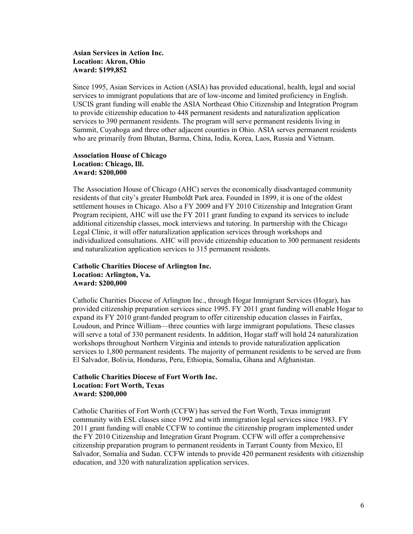#### **Asian Services in Action Inc. Location: Akron, Ohio Award: \$199,852**

Since 1995, Asian Services in Action (ASIA) has provided educational, health, legal and social services to immigrant populations that are of low-income and limited proficiency in English. USCIS grant funding will enable the ASIA Northeast Ohio Citizenship and Integration Program to provide citizenship education to 448 permanent residents and naturalization application services to 390 permanent residents. The program will serve permanent residents living in Summit, Cuyahoga and three other adjacent counties in Ohio. ASIA serves permanent residents who are primarily from Bhutan, Burma, China, India, Korea, Laos, Russia and Vietnam.

#### **Association House of Chicago Location: Chicago, Ill. Award: \$200,000**

The Association House of Chicago (AHC) serves the economically disadvantaged community residents of that city's greater Humboldt Park area. Founded in 1899, it is one of the oldest settlement houses in Chicago. Also a FY 2009 and FY 2010 Citizenship and Integration Grant Program recipient, AHC will use the FY 2011 grant funding to expand its services to include additional citizenship classes, mock interviews and tutoring. In partnership with the Chicago Legal Clinic, it will offer naturalization application services through workshops and individualized consultations. AHC will provide citizenship education to 300 permanent residents and naturalization application services to 315 permanent residents.

# **Catholic Charities Diocese of Arlington Inc. Location: Arlington, Va. Award: \$200,000**

Catholic Charities Diocese of Arlington Inc., through Hogar Immigrant Services (Hogar), has provided citizenship preparation services since 1995. FY 2011 grant funding will enable Hogar to expand its FY 2010 grant-funded program to offer citizenship education classes in Fairfax, Loudoun, and Prince William—three counties with large immigrant populations. These classes will serve a total of 330 permanent residents. In addition, Hogar staff will hold 24 naturalization workshops throughout Northern Virginia and intends to provide naturalization application services to 1,800 permanent residents. The majority of permanent residents to be served are from El Salvador, Bolivia, Honduras, Peru, Ethiopia, Somalia, Ghana and Afghanistan.

# **Catholic Charities Diocese of Fort Worth Inc. Location: Fort Worth, Texas Award: \$200,000**

Catholic Charities of Fort Worth (CCFW) has served the Fort Worth, Texas immigrant community with ESL classes since 1992 and with immigration legal services since 1983. FY 2011 grant funding will enable CCFW to continue the citizenship program implemented under the FY 2010 Citizenship and Integration Grant Program. CCFW will offer a comprehensive citizenship preparation program to permanent residents in Tarrant County from Mexico, El Salvador, Somalia and Sudan. CCFW intends to provide 420 permanent residents with citizenship education, and 320 with naturalization application services.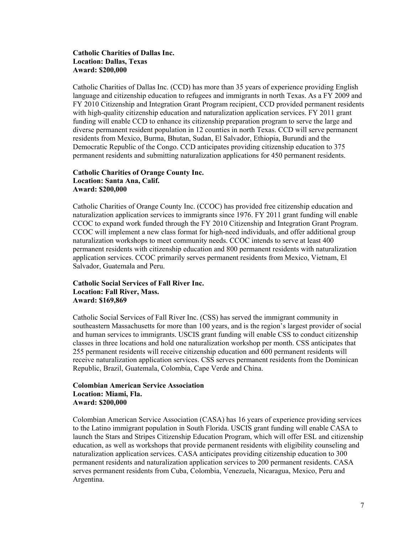### **Catholic Charities of Dallas Inc. Location: Dallas, Texas Award: \$200,000**

Catholic Charities of Dallas Inc. (CCD) has more than 35 years of experience providing English language and citizenship education to refugees and immigrants in north Texas. As a FY 2009 and FY 2010 Citizenship and Integration Grant Program recipient, CCD provided permanent residents with high-quality citizenship education and naturalization application services. FY 2011 grant funding will enable CCD to enhance its citizenship preparation program to serve the large and diverse permanent resident population in 12 counties in north Texas. CCD will serve permanent residents from Mexico, Burma, Bhutan, Sudan, El Salvador, Ethiopia, Burundi and the Democratic Republic of the Congo. CCD anticipates providing citizenship education to 375 permanent residents and submitting naturalization applications for 450 permanent residents.

#### **Catholic Charities of Orange County Inc. Location: Santa Ana, Calif. Award: \$200,000**

Catholic Charities of Orange County Inc. (CCOC) has provided free citizenship education and naturalization application services to immigrants since 1976. FY 2011 grant funding will enable CCOC to expand work funded through the FY 2010 Citizenship and Integration Grant Program. CCOC will implement a new class format for high-need individuals, and offer additional group naturalization workshops to meet community needs. CCOC intends to serve at least 400 permanent residents with citizenship education and 800 permanent residents with naturalization application services. CCOC primarily serves permanent residents from Mexico, Vietnam, El Salvador, Guatemala and Peru.

# **Catholic Social Services of Fall River Inc. Location: Fall River, Mass. Award: \$169,869**

Catholic Social Services of Fall River Inc. (CSS) has served the immigrant community in southeastern Massachusetts for more than 100 years, and is the region's largest provider of social and human services to immigrants. USCIS grant funding will enable CSS to conduct citizenship classes in three locations and hold one naturalization workshop per month. CSS anticipates that 255 permanent residents will receive citizenship education and 600 permanent residents will receive naturalization application services. CSS serves permanent residents from the Dominican Republic, Brazil, Guatemala, Colombia, Cape Verde and China.

#### **Colombian American Service Association Location: Miami, Fla. Award: \$200,000**

Colombian American Service Association (CASA) has 16 years of experience providing services to the Latino immigrant population in South Florida. USCIS grant funding will enable CASA to launch the Stars and Stripes Citizenship Education Program, which will offer ESL and citizenship education, as well as workshops that provide permanent residents with eligibility counseling and naturalization application services. CASA anticipates providing citizenship education to 300 permanent residents and naturalization application services to 200 permanent residents. CASA serves permanent residents from Cuba, Colombia, Venezuela, Nicaragua, Mexico, Peru and Argentina.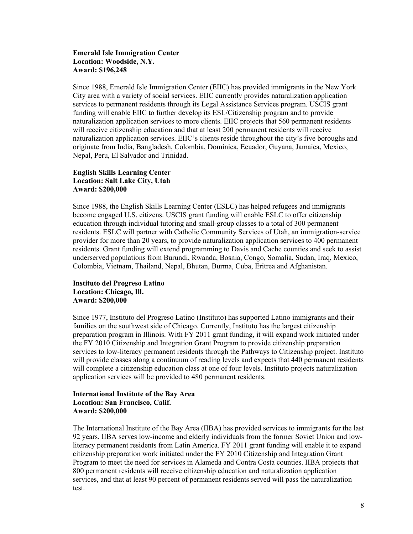#### **Emerald Isle Immigration Center Location: Woodside, N.Y. Award: \$196,248**

Since 1988, Emerald Isle Immigration Center (EIIC) has provided immigrants in the New York City area with a variety of social services. EIIC currently provides naturalization application services to permanent residents through its Legal Assistance Services program. USCIS grant funding will enable EIIC to further develop its ESL/Citizenship program and to provide naturalization application services to more clients. EIIC projects that 560 permanent residents will receive citizenship education and that at least 200 permanent residents will receive naturalization application services. EIIC's clients reside throughout the city's five boroughs and originate from India, Bangladesh, Colombia, Dominica, Ecuador, Guyana, Jamaica, Mexico, Nepal, Peru, El Salvador and Trinidad.

#### **English Skills Learning Center Location: Salt Lake City, Utah Award: \$200,000**

Since 1988, the English Skills Learning Center (ESLC) has helped refugees and immigrants become engaged U.S. citizens. USCIS grant funding will enable ESLC to offer citizenship education through individual tutoring and small-group classes to a total of 300 permanent residents. ESLC will partner with Catholic Community Services of Utah, an immigration-service provider for more than 20 years, to provide naturalization application services to 400 permanent residents. Grant funding will extend programming to Davis and Cache counties and seek to assist underserved populations from Burundi, Rwanda, Bosnia, Congo, Somalia, Sudan, Iraq, Mexico, Colombia, Vietnam, Thailand, Nepal, Bhutan, Burma, Cuba, Eritrea and Afghanistan.

# **Instituto del Progreso Latino Location: Chicago, Ill. Award: \$200,000**

Since 1977, Instituto del Progreso Latino (Instituto) has supported Latino immigrants and their families on the southwest side of Chicago. Currently, Instituto has the largest citizenship preparation program in Illinois. With FY 2011 grant funding, it will expand work initiated under the FY 2010 Citizenship and Integration Grant Program to provide citizenship preparation services to low-literacy permanent residents through the Pathways to Citizenship project. Instituto will provide classes along a continuum of reading levels and expects that 440 permanent residents will complete a citizenship education class at one of four levels. Instituto projects naturalization application services will be provided to 480 permanent residents.

# **International Institute of the Bay Area Location: San Francisco, Calif. Award: \$200,000**

The International Institute of the Bay Area (IIBA) has provided services to immigrants for the last 92 years. IIBA serves low-income and elderly individuals from the former Soviet Union and lowliteracy permanent residents from Latin America. FY 2011 grant funding will enable it to expand citizenship preparation work initiated under the FY 2010 Citizenship and Integration Grant Program to meet the need for services in Alameda and Contra Costa counties. IIBA projects that 800 permanent residents will receive citizenship education and naturalization application services, and that at least 90 percent of permanent residents served will pass the naturalization test.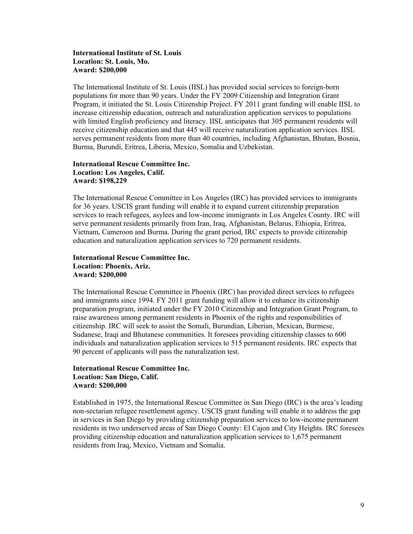#### **International Institute of St. Louis Location: St. Louis, Mo. Award: \$200,000**

The International Institute of St. Louis (IISL) has provided social services to foreign-born populations for more than 90 years. Under the FY 2009 Citizenship and Integration Grant Program, it initiated the St. Louis Citizenship Project. FY 2011 grant funding will enable IISL to increase citizenship education, outreach and naturalization application services to populations with limited English proficiency and literacy. IISL anticipates that 305 permanent residents will receive citizenship education and that 445 will receive naturalization application services. IISL serves permanent residents from more than 40 countries, including Afghanistan, Bhutan, Bosnia, Burma, Burundi, Eritrea, Liberia, Mexico, Somalia and Uzbekistan.

# **International Rescue Committee Inc. Location: Los Angeles, Calif. Award: \$198,229**

The International Rescue Committee in Los Angeles (IRC) has provided services to immigrants for 36 years. USCIS grant funding will enable it to expand current citizenship preparation services to reach refugees, asylees and low-income immigrants in Los Angeles County. IRC will serve permanent residents primarily from Iran, Iraq, Afghanistan, Belarus, Ethiopia, Eritrea, Vietnam, Cameroon and Burma. During the grant period, IRC expects to provide citizenship education and naturalization application services to 720 permanent residents.

# **International Rescue Committee Inc. Location: Phoenix, Ariz. Award: \$200,000**

The International Rescue Committee in Phoenix (IRC) has provided direct services to refugees and immigrants since 1994. FY 2011 grant funding will allow it to enhance its citizenship preparation program, initiated under the FY 2010 Citizenship and Integration Grant Program, to raise awareness among permanent residents in Phoenix of the rights and responsibilities of citizenship. IRC will seek to assist the Somali, Burundian, Liberian, Mexican, Burmese, Sudanese, Iraqi and Bhutanese communities. It foresees providing citizenship classes to 600 individuals and naturalization application services to 515 permanent residents. IRC expects that 90 percent of applicants will pass the naturalization test.

#### **International Rescue Committee Inc. Location: San Diego, Calif. Award: \$200,000**

Established in 1975, the International Rescue Committee in San Diego (IRC) is the area's leading non-sectarian refugee resettlement agency. USCIS grant funding will enable it to address the gap in services in San Diego by providing citizenship preparation services to low-income permanent residents in two underserved areas of San Diego County: El Cajon and City Heights. IRC foresees providing citizenship education and naturalization application services to 1,675 permanent residents from Iraq, Mexico, Vietnam and Somalia.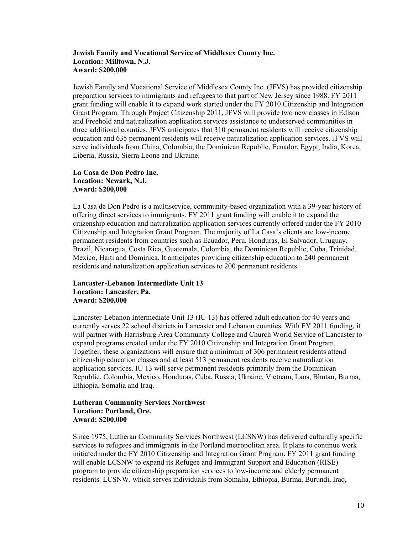#### **Jewish Family and Vocational Service of Middlesex County Inc. Location: Milltown, N.J. Award: \$200,000**

Jewish Family and Vocational Service of Middlesex County Inc. (JFVS) has provided citizenship preparation services to immigrants and refugees to that part of New Jersey since 1988. FY 2011 grant funding will enable it to expand work started under the FY 2010 Citizenship and Integration Grant Program. Through Project Citizenship 2011, JFVS will provide two new classes in Edison and Freehold and naturalization application services assistance to underserved communities in three additional counties. JFVS anticipates that 310 permanent residents will receive citizenship education and 635 permanent residents will receive naturalization application services. JFVS will serve individuals from China, Colombia, the Dominican Republic, Ecuador, Egypt, India, Korea, Liberia, Russia, Sierra Leone and Ukraine.

#### **La Casa de Don Pedro Inc. Location: Newark, N.J. Award: \$200,000**

La Casa de Don Pedro is a multiservice, community-based organization with a 39-year history of offering direct services to immigrants. FY 2011 grant funding will enable it to expand the citizenship education and naturalization application services currently offered under the FY 2010 Citizenship and Integration Grant Program. The majority of La Casa's clients are low-income permanent residents from countries such as Ecuador, Peru, Honduras, El Salvador, Uruguay, Brazil, Nicaragua, Costa Rica, Guatemala, Colombia, the Dominican Republic, Cuba, Trinidad, Mexico, Haiti and Dominica. It anticipates providing citizenship education to 240 permanent residents and naturalization application services to 200 permanent residents.

# **Lancaster-Lebanon Intermediate Unit 13 Location: Lancaster, Pa. Award: \$200,000**

Lancaster-Lebanon Intermediate Unit 13 (IU 13) has offered adult education for 40 years and currently serves 22 school districts in Lancaster and Lebanon counties. With FY 2011 funding, it will partner with Harrisburg Area Community College and Church World Service of Lancaster to expand programs created under the FY 2010 Citizenship and Integration Grant Program. Together, these organizations will ensure that a minimum of 306 permanent residents attend citizenship education classes and at least 513 permanent residents receive naturalization application services. IU 13 will serve permanent residents primarily from the Dominican Republic, Colombia, Mexico, Honduras, Cuba, Russia, Ukraine, Vietnam, Laos, Bhutan, Burma, Ethiopia, Somalia and Iraq.

# **Lutheran Community Services Northwest Location: Portland, Ore. Award: \$200,000**

Since 1975, Lutheran Community Services Northwest (LCSNW) has delivered culturally specific services to refugees and immigrants in the Portland metropolitan area. It plans to continue work initiated under the FY 2010 Citizenship and Integration Grant Program. FY 2011 grant funding will enable LCSNW to expand its Refugee and Immigrant Support and Education (RISE) program to provide citizenship preparation services to low-income and elderly permanent residents. LCSNW, which serves individuals from Somalia, Ethiopia, Burma, Burundi, Iraq,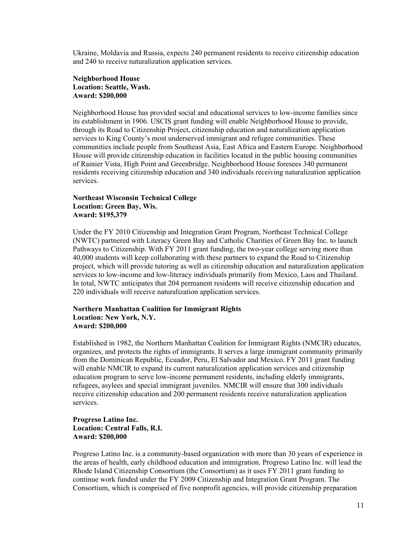Ukraine, Moldavia and Russia, expects 240 permanent residents to receive citizenship education and 240 to receive naturalization application services.

#### **Neighborhood House Location: Seattle, Wash. Award: \$200,000**

Neighborhood House has provided social and educational services to low-income families since its establishment in 1906. USCIS grant funding will enable Neighborhood House to provide, through its Road to Citizenship Project, citizenship education and naturalization application services to King County's most underserved immigrant and refugee communities. These communities include people from Southeast Asia, East Africa and Eastern Europe. Neighborhood House will provide citizenship education in facilities located in the public housing communities of Rainier Vista, High Point and Greenbridge. Neighborhood House foresees 340 permanent residents receiving citizenship education and 340 individuals receiving naturalization application services.

#### **Northeast Wisconsin Technical College Location: Green Bay, Wis. Award: \$195,379**

Under the FY 2010 Citizenship and Integration Grant Program, Northeast Technical College (NWTC) partnered with Literacy Green Bay and Catholic Charities of Green Bay Inc. to launch Pathways to Citizenship. With FY 2011 grant funding, the two-year college serving more than 40,000 students will keep collaborating with these partners to expand the Road to Citizenship project, which will provide tutoring as well as citizenship education and naturalization application services to low-income and low-literacy individuals primarily from Mexico, Laos and Thailand. In total, NWTC anticipates that 204 permanent residents will receive citizenship education and 220 individuals will receive naturalization application services.

### **Northern Manhattan Coalition for Immigrant Rights Location: New York, N.Y. Award: \$200,000**

Established in 1982, the Northern Manhattan Coalition for Immigrant Rights (NMCIR) educates, organizes, and protects the rights of immigrants. It serves a large immigrant community primarily from the Dominican Republic, Ecuador, Peru, El Salvador and Mexico. FY 2011 grant funding will enable NMCIR to expand its current naturalization application services and citizenship education program to serve low-income permanent residents, including elderly immigrants, refugees, asylees and special immigrant juveniles. NMCIR will ensure that 300 individuals receive citizenship education and 200 permanent residents receive naturalization application services.

#### **Progreso Latino Inc. Location: Central Falls, R.I. Award: \$200,000**

Progreso Latino Inc. is a community-based organization with more than 30 years of experience in the areas of health, early childhood education and immigration. Progreso Latino Inc. will lead the Rhode Island Citizenship Consortium (the Consortium) as it uses FY 2011 grant funding to continue work funded under the FY 2009 Citizenship and Integration Grant Program. The Consortium, which is comprised of five nonprofit agencies, will provide citizenship preparation